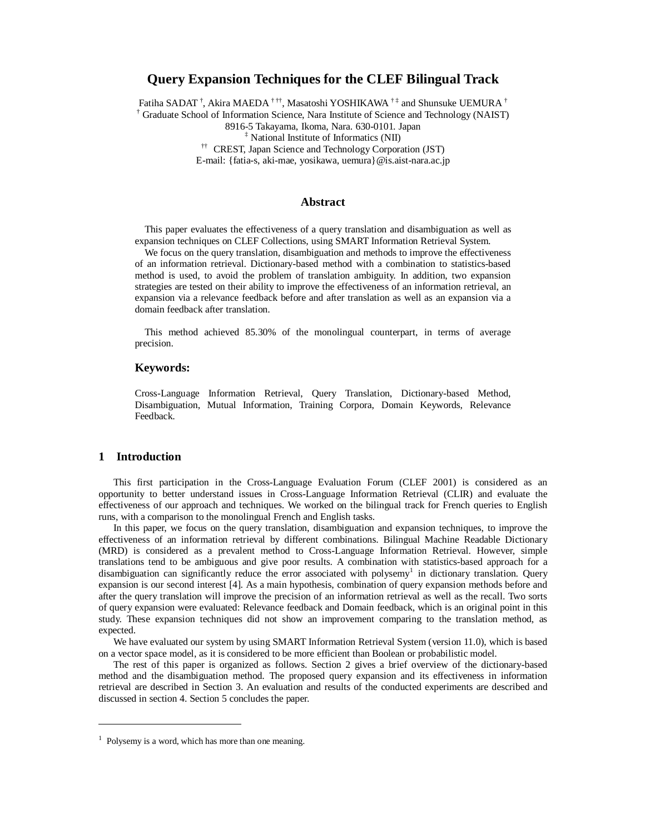# **Query Expansion Techniques for the CLEF Bilingual Track**

Fatiha SADAT  $^{\dagger}$ , Akira MAEDA  $^{\dagger\,\dagger\dagger}$ , Masatoshi YOSHIKAWA  $^{\dagger\,\dagger}$  and Shunsuke UEMURA  $^{\dagger}$ 

† Graduate School of Information Science, Nara Institute of Science and Technology (NAIST)

8916-5 Takayama, Ikoma, Nara. 630-0101. Japan

‡ National Institute of Informatics (NII)

†† CREST, Japan Science and Technology Corporation (JST)

E-mail: {fatia-s, aki-mae, yosikawa, uemura}@is.aist-nara.ac.jp

### **Abstract**

This paper evaluates the effectiveness of a query translation and disambiguation as well as expansion techniques on CLEF Collections, using SMART Information Retrieval System.

We focus on the query translation, disambiguation and methods to improve the effectiveness of an information retrieval. Dictionary-based method with a combination to statistics-based method is used, to avoid the problem of translation ambiguity. In addition, two expansion strategies are tested on their ability to improve the effectiveness of an information retrieval, an expansion via a relevance feedback before and after translation as well as an expansion via a domain feedback after translation.

This method achieved 85.30% of the monolingual counterpart, in terms of average precision.

### **Keywords:**

Cross-Language Information Retrieval, Query Translation, Dictionary-based Method, Disambiguation, Mutual Information, Training Corpora, Domain Keywords, Relevance Feedback.

### **1 Introduction**

This first participation in the Cross-Language Evaluation Forum (CLEF 2001) is considered as an opportunity to better understand issues in Cross-Language Information Retrieval (CLIR) and evaluate the effectiveness of our approach and techniques. We worked on the bilingual track for French queries to English runs, with a comparison to the monolingual French and English tasks.

In this paper, we focus on the query translation, disambiguation and expansion techniques, to improve the effectiveness of an information retrieval by different combinations. Bilingual Machine Readable Dictionary (MRD) is considered as a prevalent method to Cross-Language Information Retrieval. However, simple translations tend to be ambiguous and give poor results. A combination with statistics-based approach for a disambiguation can significantly reduce the error associated with polysemy<sup>1</sup> in dictionary translation. Query expansion is our second interest [4]. As a main hypothesis, combination of query expansion methods before and after the query translation will improve the precision of an information retrieval as well as the recall. Two sorts of query expansion were evaluated: Relevance feedback and Domain feedback, which is an original point in this study. These expansion techniques did not show an improvement comparing to the translation method, as expected.

We have evaluated our system by using SMART Information Retrieval System (version 11.0), which is based on a vector space model, as it is considered to be more efficient than Boolean or probabilistic model.

The rest of this paper is organized as follows. Section 2 gives a brief overview of the dictionary-based method and the disambiguation method. The proposed query expansion and its effectiveness in information retrieval are described in Section 3. An evaluation and results of the conducted experiments are described and discussed in section 4. Section 5 concludes the paper.

<sup>&</sup>lt;sup>1</sup> Polysemy is a word, which has more than one meaning.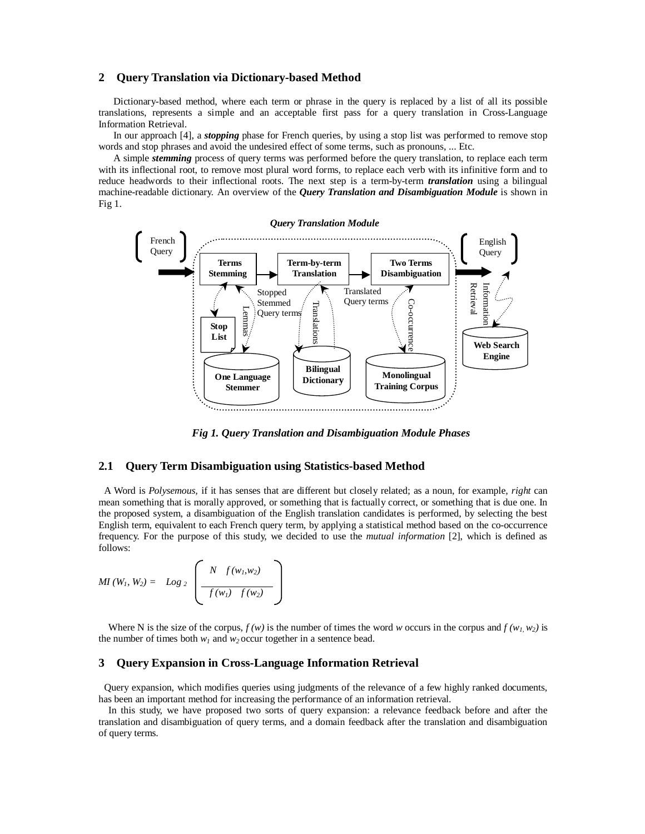### **2 Query Translation via Dictionary-based Method**

Dictionary-based method, where each term or phrase in the query is replaced by a list of all its possible translations, represents a simple and an acceptable first pass for a query translation in Cross-Language Information Retrieval.

In our approach [4], a *stopping* phase for French queries, by using a stop list was performed to remove stop words and stop phrases and avoid the undesired effect of some terms, such as pronouns, ... Etc.

A simple *stemming* process of query terms was performed before the query translation, to replace each term with its inflectional root, to remove most plural word forms, to replace each verb with its infinitive form and to reduce headwords to their inflectional roots. The next step is a term-by-term *translation* using a bilingual machine-readable dictionary. An overview of the *Query Translation and Disambiguation Module* is shown in Fig 1.



*Fig 1. Query Translation and Disambiguation Module Phases*

### **2.1 Query Term Disambiguation using Statistics-based Method**

A Word is *Polysemous,* if it has senses that are different but closely related; as a noun, for example, *right* can mean something that is morally approved, or something that is factually correct, or something that is due one. In the proposed system, a disambiguation of the English translation candidates is performed, by selecting the best English term, equivalent to each French query term, by applying a statistical method based on the co-occurrence frequency. For the purpose of this study, we decided to use the *mutual information* [2], which is defined as follows:

*MI*  $(W_1, W_2) = Log_2$ *N f (w1,w2)*  $f(w_1)$   $f(w_2)$ 

Where N is the size of the corpus,  $f(w)$  is the number of times the word w occurs in the corpus and  $f(w_1, w_2)$  is the number of times both  $w_1$  and  $w_2$  occur together in a sentence bead.

### **3 Query Expansion in Cross-Language Information Retrieval**

Query expansion, which modifies queries using judgments of the relevance of a few highly ranked documents, has been an important method for increasing the performance of an information retrieval.

In this study, we have proposed two sorts of query expansion: a relevance feedback before and after the translation and disambiguation of query terms, and a domain feedback after the translation and disambiguation of query terms.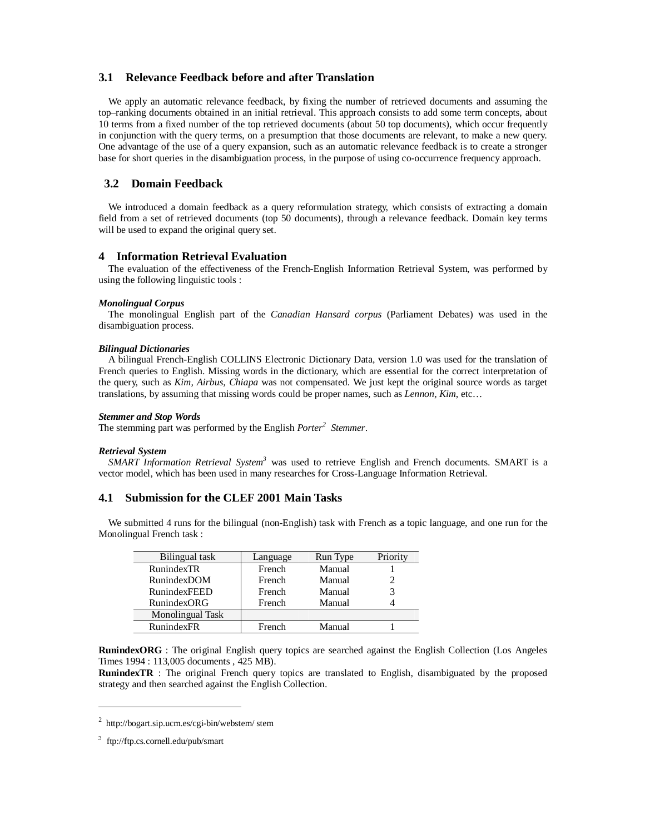## **3.1 Relevance Feedback before and after Translation**

We apply an automatic relevance feedback, by fixing the number of retrieved documents and assuming the top–ranking documents obtained in an initial retrieval. This approach consists to add some term concepts, about 10 terms from a fixed number of the top retrieved documents (about 50 top documents), which occur frequently in conjunction with the query terms, on a presumption that those documents are relevant, to make a new query. One advantage of the use of a query expansion, such as an automatic relevance feedback is to create a stronger base for short queries in the disambiguation process, in the purpose of using co-occurrence frequency approach.

### **3.2 Domain Feedback**

We introduced a domain feedback as a query reformulation strategy, which consists of extracting a domain field from a set of retrieved documents (top 50 documents), through a relevance feedback. Domain key terms will be used to expand the original query set.

#### **4 Information Retrieval Evaluation**

The evaluation of the effectiveness of the French-English Information Retrieval System, was performed by using the following linguistic tools :

#### *Monolingual Corpus*

The monolingual English part of the *Canadian Hansard corpus* (Parliament Debates) was used in the disambiguation process.

#### *Bilingual Dictionaries*

A bilingual French-English COLLINS Electronic Dictionary Data, version 1.0 was used for the translation of French queries to English. Missing words in the dictionary, which are essential for the correct interpretation of the query, such as *Kim, Airbus, Chiapa* was not compensated. We just kept the original source words as target translations, by assuming that missing words could be proper names, such as *Lennon, Kim*, etc…

#### *Stemmer and Stop Words*

The stemming part was performed by the English *Porter<sup>2</sup> Stemmer*.

#### *Retrieval System*

*SMART Information Retrieval System3* was used to retrieve English and French documents. SMART is a vector model, which has been used in many researches for Cross-Language Information Retrieval.

# **4.1 Submission for the CLEF 2001 Main Tasks**

We submitted 4 runs for the bilingual (non-English) task with French as a topic language, and one run for the Monolingual French task :

| Bilingual task      | Language | Run Type | Priority |
|---------------------|----------|----------|----------|
| RunindexTR          | French   | Manual   |          |
| RunindexDOM         | French   | Manual   |          |
| <b>RunindexFEED</b> | French   | Manual   |          |
| RunindexORG         | French   | Manual   |          |
| Monolingual Task    |          |          |          |
| <b>RunindexFR</b>   | French   | Manual   |          |

**RunindexORG** : The original English query topics are searched against the English Collection (Los Angeles Times 1994 : 113,005 documents , 425 MB).

**RunindexTR** : The original French query topics are translated to English, disambiguated by the proposed strategy and then searched against the English Collection.

<u> 1989 - Johann Barn, fransk politik (d. 1989)</u>

<sup>2</sup> http://bogart.sip.ucm.es/cgi-bin/webstem/ stem

ftp://ftp.cs.cornell.edu/pub/smart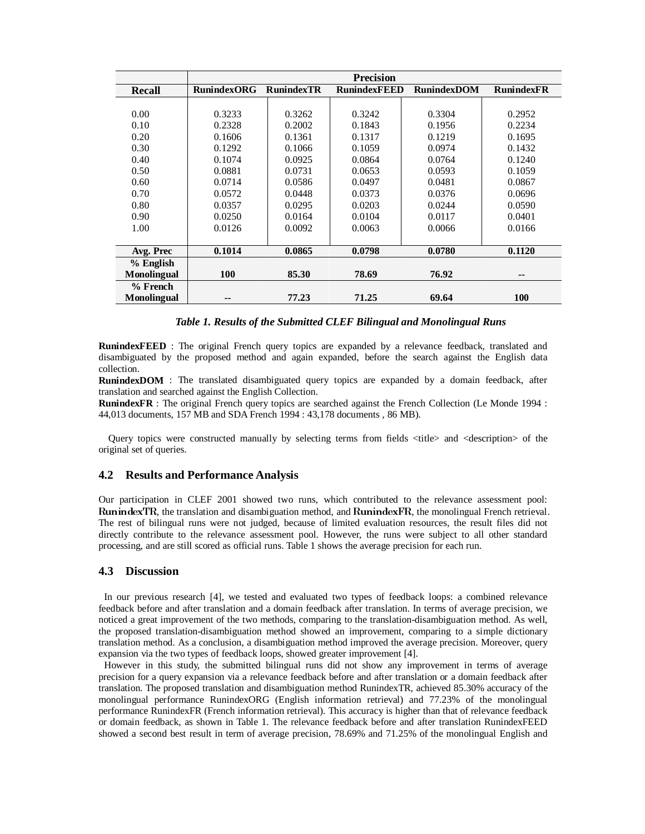|                    | <b>Precision</b>   |                   |                     |                    |                   |  |
|--------------------|--------------------|-------------------|---------------------|--------------------|-------------------|--|
| Recall             | <b>RunindexORG</b> | <b>RunindexTR</b> | <b>RunindexFEED</b> | <b>RunindexDOM</b> | <b>RunindexFR</b> |  |
|                    |                    |                   |                     |                    |                   |  |
| 0.00               | 0.3233             | 0.3262            | 0.3242              | 0.3304             | 0.2952            |  |
| 0.10               | 0.2328             | 0.2002            | 0.1843              | 0.1956             | 0.2234            |  |
| 0.20               | 0.1606             | 0.1361            | 0.1317              | 0.1219             | 0.1695            |  |
| 0.30               | 0.1292             | 0.1066            | 0.1059              | 0.0974             | 0.1432            |  |
| 0.40               | 0.1074             | 0.0925            | 0.0864              | 0.0764             | 0.1240            |  |
| 0.50               | 0.0881             | 0.0731            | 0.0653              | 0.0593             | 0.1059            |  |
| 0.60               | 0.0714             | 0.0586            | 0.0497              | 0.0481             | 0.0867            |  |
| 0.70               | 0.0572             | 0.0448            | 0.0373              | 0.0376             | 0.0696            |  |
| 0.80               | 0.0357             | 0.0295            | 0.0203              | 0.0244             | 0.0590            |  |
| 0.90               | 0.0250             | 0.0164            | 0.0104              | 0.0117             | 0.0401            |  |
| 1.00               | 0.0126             | 0.0092            | 0.0063              | 0.0066             | 0.0166            |  |
|                    |                    |                   |                     |                    |                   |  |
| Avg. Prec          | 0.1014             | 0.0865            | 0.0798              | 0.0780             | 0.1120            |  |
| % English          |                    |                   |                     |                    |                   |  |
| <b>Monolingual</b> | <b>100</b>         | 85.30             | 78.69               | 76.92              | --                |  |
| $%$ French         |                    |                   |                     |                    |                   |  |
| <b>Monolingual</b> | --                 | 77.23             | 71.25               | 69.64              | 100               |  |

#### *Table 1. Results of the Submitted CLEF Bilingual and Monolingual Runs*

**RunindexFEED** : The original French query topics are expanded by a relevance feedback, translated and disambiguated by the proposed method and again expanded, before the search against the English data collection.

**RunindexDOM** : The translated disambiguated query topics are expanded by a domain feedback, after translation and searched against the English Collection.

**RunindexFR** : The original French query topics are searched against the French Collection (Le Monde 1994 : 44,013 documents, 157 MB and SDA French 1994 : 43,178 documents , 86 MB).

Query topics were constructed manually by selecting terms from fields <title> and <description> of the original set of queries.

# **4.2 Results and Performance Analysis**

Our participation in CLEF 2001 showed two runs, which contributed to the relevance assessment pool: RunindexTR, the translation and disambiguation method, and RunindexFR, the monolingual French retrieval.<br>The rest of bilingual runs were not judged, because of limited evaluation resources, the result files did not directly contribute to the relevance assessment pool. However, the runs were subject to all other standard processing, and are still scored as official runs. Table 1 shows the average precision for each run.

### **4.3 Discussion**

In our previous research [4], we tested and evaluated two types of feedback loops: a combined relevance feedback before and after translation and a domain feedback after translation. In terms of average precision, we noticed a great improvement of the two methods, comparing to the translation-disambiguation method. As well, the proposed translation-disambiguation method showed an improvement, comparing to a simple dictionary translation method. As a conclusion, a disambiguation method improved the average precision. Moreover, query expansion via the two types of feedback loops, showed greater improvement [4].

However in this study, the submitted bilingual runs did not show any improvement in terms of average precision for a query expansion via a relevance feedback before and after translation or a domain feedback after translation. The proposed translation and disambiguation method RunindexTR, achieved 85.30% accuracy of the monolingual performance RunindexORG (English information retrieval) and 77.23% of the monolingual performance RunindexFR (French information retrieval). This accuracy is higher than that of relevance feedback or domain feedback, as shown in Table 1. The relevance feedback before and after translation RunindexFEED showed a second best result in term of average precision, 78.69% and 71.25% of the monolingual English and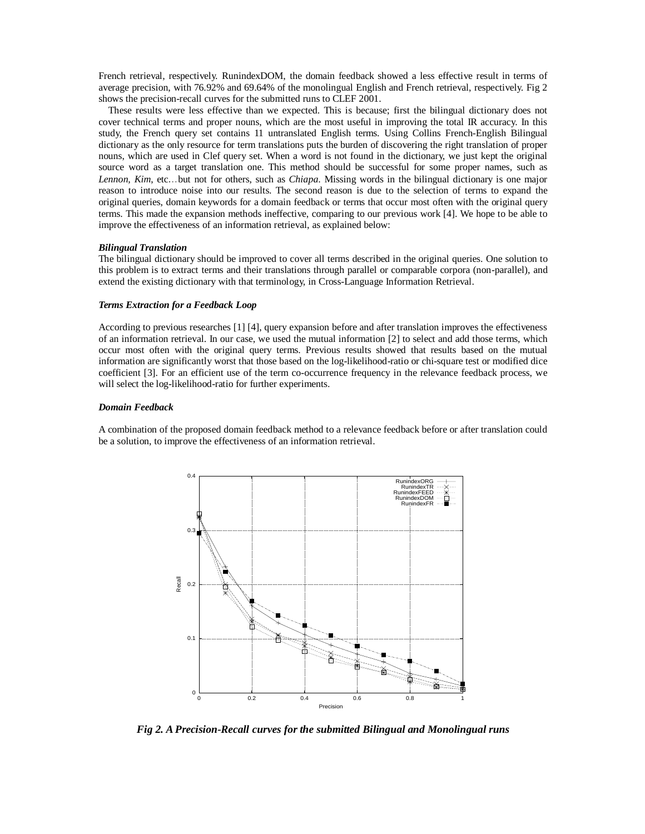French retrieval, respectively. RunindexDOM, the domain feedback showed a less effective result in terms of average precision, with 76.92% and 69.64% of the monolingual English and French retrieval, respectively. Fig 2 shows the precision-recall curves for the submitted runs to CLEF 2001.

These results were less effective than we expected. This is because; first the bilingual dictionary does not cover technical terms and proper nouns, which are the most useful in improving the total IR accuracy. In this study, the French query set contains 11 untranslated English terms. Using Collins French-English Bilingual dictionary as the only resource for term translations puts the burden of discovering the right translation of proper nouns, which are used in Clef query set. When a word is not found in the dictionary, we just kept the original source word as a target translation one. This method should be successful for some proper names, such as *Lennon, Kim*, etc...but not for others, such as *Chiapa*. Missing words in the bilingual dictionary is one major reason to introduce noise into our results. The second reason is due to the selection of terms to expand the original queries, domain keywords for a domain feedback or terms that occur most often with the original query terms. This made the expansion methods ineffective, comparing to our previous work [4]. We hope to be able to improve the effectiveness of an information retrieval, as explained below:

#### *Bilingual Translation*

The bilingual dictionary should be improved to cover all terms described in the original queries. One solution to this problem is to extract terms and their translations through parallel or comparable corpora (non-parallel), and extend the existing dictionary with that terminology, in Cross-Language Information Retrieval.

#### *Terms Extraction for a Feedback Loop*

According to previous researches [1] [4], query expansion before and after translation improves the effectiveness of an information retrieval. In our case, we used the mutual information [2] to select and add those terms, which occur most often with the original query terms. Previous results showed that results based on the mutual information are significantly worst that those based on the log-likelihood-ratio or chi-square test or modified dice coefficient [3]. For an efficient use of the term co-occurrence frequency in the relevance feedback process, we will select the log-likelihood-ratio for further experiments.

#### *Domain Feedback*

A combination of the proposed domain feedback method to a relevance feedback before or after translation could be a solution, to improve the effectiveness of an information retrieval.



*Fig 2. A Precision-Recall curves for the submitted Bilingual and Monolingual runs*